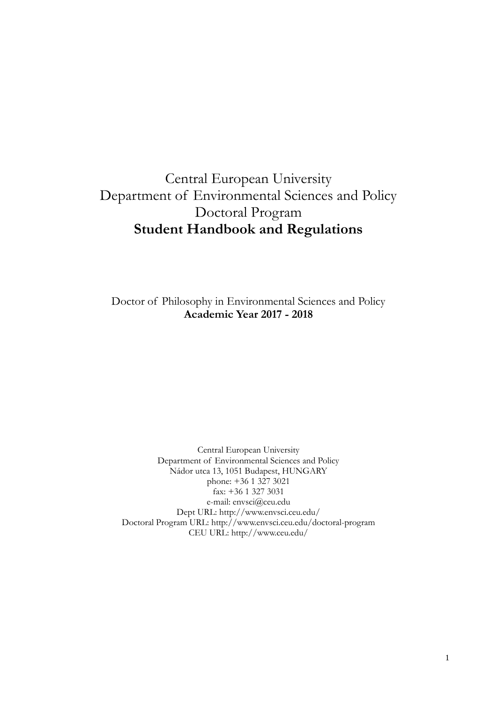# Central European University Department of Environmental Sciences and Policy Doctoral Program **Student Handbook and Regulations**

Doctor of Philosophy in Environmental Sciences and Policy **Academic Year 2017 - 2018**

Central European University Department of Environmental Sciences and Policy Nádor utca 13, 1051 Budapest, HUNGARY phone: +36 1 327 3021 fax: +36 1 327 3031 e-mail: envsci@ceu.edu Dept URL: http://www.envsci.ceu.edu/ Doctoral Program URL: http://www.envsci.ceu.edu/doctoral-program CEU URL: http://www.ceu.edu/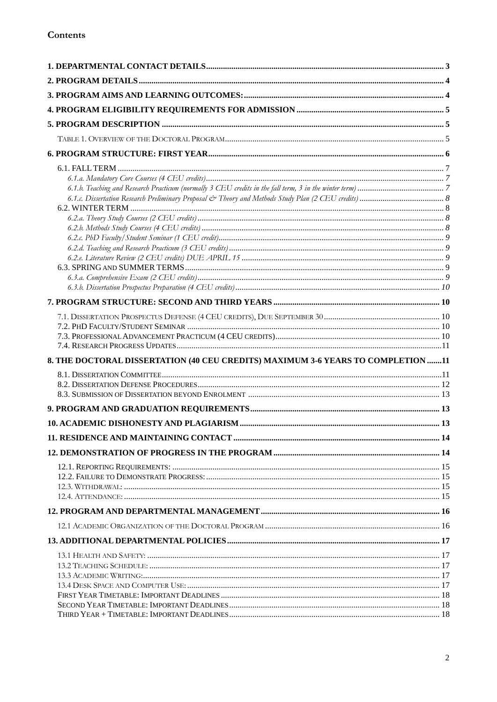| 8. THE DOCTORAL DISSERTATION (40 CEU CREDITS) MAXIMUM 3-6 YEARS TO COMPLETION 11 |  |
|----------------------------------------------------------------------------------|--|
|                                                                                  |  |
|                                                                                  |  |
|                                                                                  |  |
|                                                                                  |  |
|                                                                                  |  |
|                                                                                  |  |
|                                                                                  |  |
|                                                                                  |  |
|                                                                                  |  |
|                                                                                  |  |
|                                                                                  |  |
|                                                                                  |  |
|                                                                                  |  |
|                                                                                  |  |
|                                                                                  |  |
|                                                                                  |  |
|                                                                                  |  |
|                                                                                  |  |
|                                                                                  |  |
|                                                                                  |  |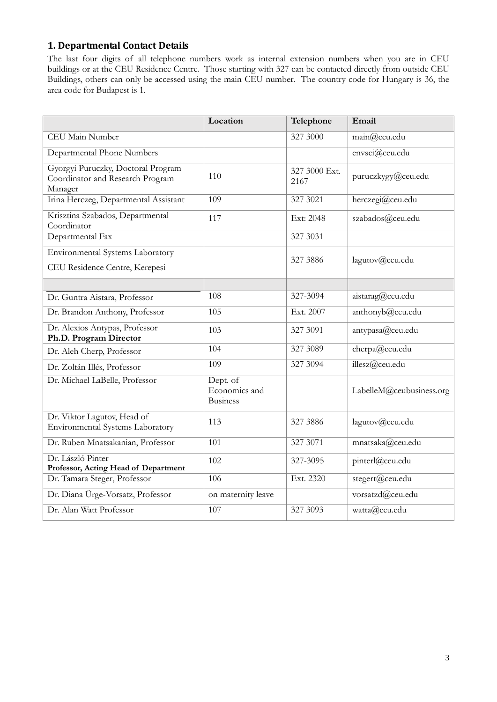# **1. Departmental Contact Details**

The last four digits of all telephone numbers work as internal extension numbers when you are in CEU buildings or at the CEU Residence Centre. Those starting with 327 can be contacted directly from outside CEU Buildings, others can only be accessed using the main CEU number. The country code for Hungary is 36, the area code for Budapest is 1.

|                                                                                   | Location                                     | Telephone             | Email                    |
|-----------------------------------------------------------------------------------|----------------------------------------------|-----------------------|--------------------------|
| CEU Main Number                                                                   |                                              | 327 3000              | main@ceu.edu             |
| Departmental Phone Numbers                                                        |                                              |                       | envsci@ceu.edu           |
| Gyorgyi Puruczky, Doctoral Program<br>Coordinator and Research Program<br>Manager | 110                                          | 327 3000 Ext.<br>2167 | puruczkygy@ceu.edu       |
| Irina Herczeg, Departmental Assistant                                             | 109                                          | 327 3021              | herczegi@ceu.edu         |
| Krisztina Szabados, Departmental<br>Coordinator                                   | 117                                          | Ext: 2048             | szabados@ceu.edu         |
| Departmental Fax                                                                  |                                              | 327 3031              |                          |
| Environmental Systems Laboratory<br>CEU Residence Centre, Kerepesi                |                                              | 327 3886              | lagutov@ceu.edu          |
|                                                                                   |                                              |                       |                          |
| Dr. Guntra Aistara, Professor                                                     | 108                                          | 327-3094              | aistarag@ceu.edu         |
| Dr. Brandon Anthony, Professor                                                    | 105                                          | Ext. 2007             | anthonyb@ceu.edu         |
| Dr. Alexios Antypas, Professor<br>Ph.D. Program Director                          | 103                                          | 327 3091              | antypasa@ceu.edu         |
| Dr. Aleh Cherp, Professor                                                         | 104                                          | 327 3089              | cherpa@ceu.edu           |
| Dr. Zoltán Illés, Professor                                                       | 109                                          | 327 3094              | illesz@ceu.edu           |
| Dr. Michael LaBelle, Professor                                                    | Dept. of<br>Economics and<br><b>Business</b> |                       | LabelleM@ceubusiness.org |
| Dr. Viktor Lagutov, Head of<br>Environmental Systems Laboratory                   | 113                                          | 327 3886              | lagutov@ceu.edu          |
| Dr. Ruben Mnatsakanian, Professor                                                 | 101                                          | 327 3071              | mnatsaka@ceu.edu         |
| Dr. László Pinter<br>Professor, Acting Head of Department                         | 102                                          | 327-3095              | pinterl@ceu.edu          |
| Dr. Tamara Steger, Professor                                                      | 106                                          | Ext. 2320             | stegert@ceu.edu          |
| Dr. Diana Ürge-Vorsatz, Professor                                                 | on maternity leave                           |                       | vorsatzd@ceu.edu         |
| Dr. Alan Watt Professor                                                           | 107                                          | 327 3093              | watta@ceu.edu            |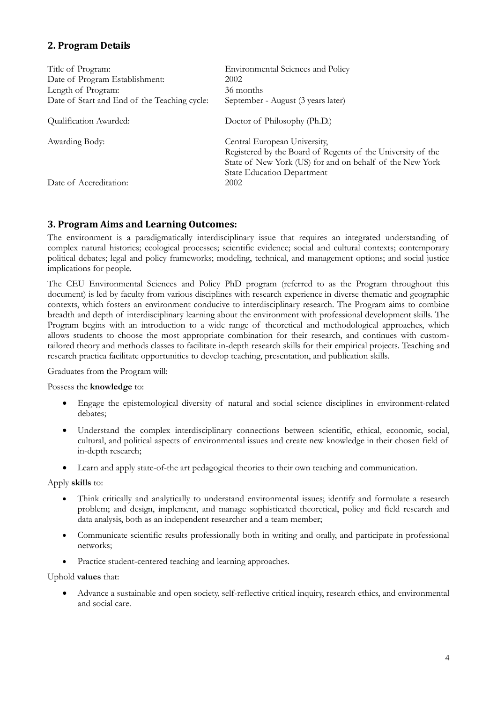# **2. Program Details**

| Title of Program:                            | <b>Environmental Sciences and Policy</b>                                                                                                                |
|----------------------------------------------|---------------------------------------------------------------------------------------------------------------------------------------------------------|
| Date of Program Establishment:               | 2002                                                                                                                                                    |
| Length of Program:                           | 36 months                                                                                                                                               |
| Date of Start and End of the Teaching cycle: | September - August (3 years later)                                                                                                                      |
| Qualification Awarded:                       | Doctor of Philosophy (Ph.D.)                                                                                                                            |
| Awarding Body:                               | Central European University,<br>Registered by the Board of Regents of the University of the<br>State of New York (US) for and on behalf of the New York |
| Date of Accreditation:                       | <b>State Education Department</b><br>2002                                                                                                               |

# **3. Program Aims and Learning Outcomes:**

The environment is a paradigmatically interdisciplinary issue that requires an integrated understanding of complex natural histories; ecological processes; scientific evidence; social and cultural contexts; contemporary political debates; legal and policy frameworks; modeling, technical, and management options; and social justice implications for people.

The CEU Environmental Sciences and Policy PhD program (referred to as the Program throughout this document) is led by faculty from various disciplines with research experience in diverse thematic and geographic contexts, which fosters an environment conducive to interdisciplinary research. The Program aims to combine breadth and depth of interdisciplinary learning about the environment with professional development skills. The Program begins with an introduction to a wide range of theoretical and methodological approaches, which allows students to choose the most appropriate combination for their research, and continues with customtailored theory and methods classes to facilitate in-depth research skills for their empirical projects. Teaching and research practica facilitate opportunities to develop teaching, presentation, and publication skills.

Graduates from the Program will:

#### Possess the **knowledge** to:

- Engage the epistemological diversity of natural and social science disciplines in environment-related debates;
- Understand the complex interdisciplinary connections between scientific, ethical, economic, social, cultural, and political aspects of environmental issues and create new knowledge in their chosen field of in-depth research;
- Learn and apply state-of-the art pedagogical theories to their own teaching and communication.

Apply **skills** to:

- Think critically and analytically to understand environmental issues; identify and formulate a research problem; and design, implement, and manage sophisticated theoretical, policy and field research and data analysis, both as an independent researcher and a team member;
- Communicate scientific results professionally both in writing and orally, and participate in professional networks;
- Practice student-centered teaching and learning approaches.

#### Uphold **values** that:

 Advance a sustainable and open society, self-reflective critical inquiry, research ethics, and environmental and social care.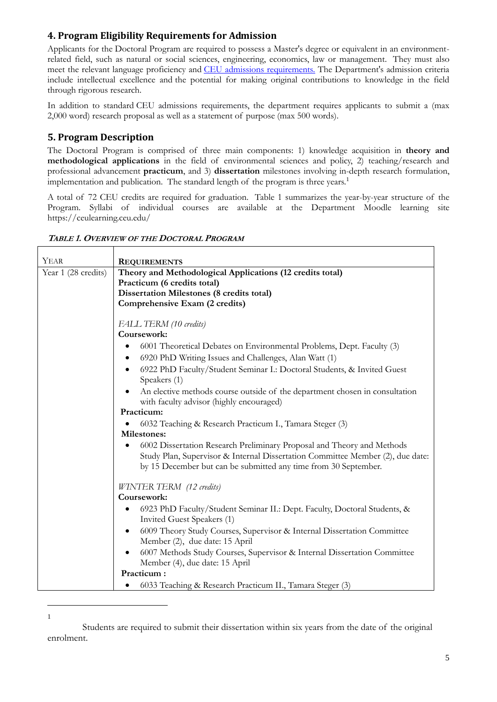# **4. Program Eligibility Requirements for Admission**

Applicants for the Doctoral Program are required to possess a Master's degree or equivalent in an environmentrelated field, such as natural or social sciences, engineering, economics, law or management. They must also meet the relevant language proficiency and [CEU admissions requirements.](https://www.ceu.edu/admissions/who-can-apply) The Department's admission criteria include intellectual excellence and the potential for making original contributions to knowledge in the field through rigorous research.

In addition to standard CEU admissions requirements, the department requires applicants to submit a (max 2,000 word) research proposal as well as a statement of purpose (max 500 words).

# **5. Program Description**

 $\overline{a}$ 1

The Doctoral Program is comprised of three main components: 1) knowledge acquisition in **theory and methodological applications** in the field of environmental sciences and policy, 2) teaching/research and professional advancement **practicum**, and 3) **dissertation** milestones involving in-depth research formulation, implementation and publication. The standard length of the program is three years.<sup>1</sup>

A total of 72 CEU credits are required for graduation. Table 1 summarizes the year-by-year structure of the Program. Syllabi of individual courses are available at the Department Moodle learning site https://ceulearning.ceu.edu/

| TABLE 1. OVERVIEW OF THE DOCTORAL PROGRAM |  |
|-------------------------------------------|--|
|-------------------------------------------|--|

| YEAR                | <b>REQUIREMENTS</b>                                                                                                                               |  |  |  |  |
|---------------------|---------------------------------------------------------------------------------------------------------------------------------------------------|--|--|--|--|
| Year 1 (28 credits) | Theory and Methodological Applications (12 credits total)<br>Practicum (6 credits total)                                                          |  |  |  |  |
|                     |                                                                                                                                                   |  |  |  |  |
|                     | <b>Dissertation Milestones (8 credits total)</b>                                                                                                  |  |  |  |  |
|                     | Comprehensive Exam (2 credits)                                                                                                                    |  |  |  |  |
|                     |                                                                                                                                                   |  |  |  |  |
|                     | FALL TERM (10 credits)                                                                                                                            |  |  |  |  |
|                     | Coursework:                                                                                                                                       |  |  |  |  |
|                     | 6001 Theoretical Debates on Environmental Problems, Dept. Faculty (3)                                                                             |  |  |  |  |
|                     | 6920 PhD Writing Issues and Challenges, Alan Watt (1)                                                                                             |  |  |  |  |
|                     | 6922 PhD Faculty/Student Seminar I.: Doctoral Students, & Invited Guest                                                                           |  |  |  |  |
|                     | Speakers (1)                                                                                                                                      |  |  |  |  |
|                     | An elective methods course outside of the department chosen in consultation<br>with faculty advisor (highly encouraged)                           |  |  |  |  |
|                     | Practicum:                                                                                                                                        |  |  |  |  |
|                     | 6032 Teaching & Research Practicum I., Tamara Steger (3)                                                                                          |  |  |  |  |
|                     | Milestones:                                                                                                                                       |  |  |  |  |
|                     | 6002 Dissertation Research Preliminary Proposal and Theory and Methods                                                                            |  |  |  |  |
|                     | Study Plan, Supervisor & Internal Dissertation Committee Member (2), due date:<br>by 15 December but can be submitted any time from 30 September. |  |  |  |  |
|                     | WINTER TERM (12 credits)                                                                                                                          |  |  |  |  |
|                     | Coursework:                                                                                                                                       |  |  |  |  |
|                     | 6923 PhD Faculty/Student Seminar II.: Dept. Faculty, Doctoral Students, &                                                                         |  |  |  |  |
|                     | Invited Guest Speakers (1)                                                                                                                        |  |  |  |  |
|                     | 6009 Theory Study Courses, Supervisor & Internal Dissertation Committee                                                                           |  |  |  |  |
|                     | Member (2), due date: 15 April                                                                                                                    |  |  |  |  |
|                     | 6007 Methods Study Courses, Supervisor & Internal Dissertation Committee<br>$\bullet$                                                             |  |  |  |  |
|                     | Member (4), due date: 15 April                                                                                                                    |  |  |  |  |
|                     | Practicum:                                                                                                                                        |  |  |  |  |
|                     | 6033 Teaching & Research Practicum II., Tamara Steger (3)                                                                                         |  |  |  |  |

Students are required to submit their dissertation within six years from the date of the original enrolment.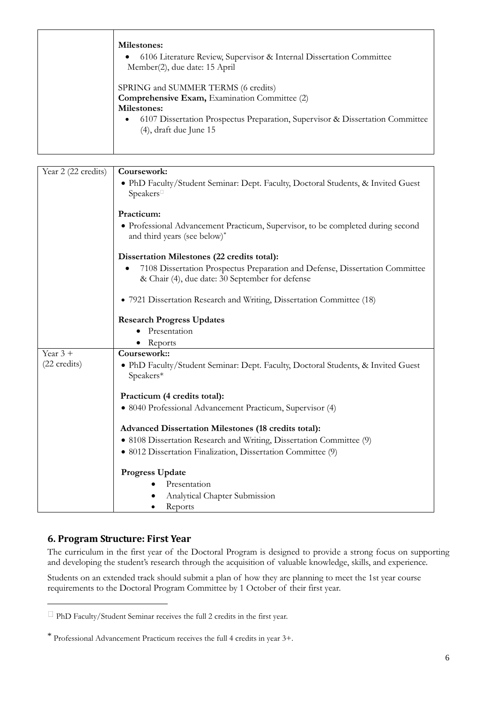| <b>Milestones:</b><br>6106 Literature Review, Supervisor & Internal Dissertation Committee<br>$\bullet$<br>Member(2), due date: 15 April                                                                                                     |
|----------------------------------------------------------------------------------------------------------------------------------------------------------------------------------------------------------------------------------------------|
| SPRING and SUMMER TERMS (6 credits)<br><b>Comprehensive Exam, Examination Committee (2)</b><br><b>Milestones:</b><br>6107 Dissertation Prospectus Preparation, Supervisor & Dissertation Committee<br>$\bullet$<br>$(4)$ , draft due June 15 |

| Year 2 (22 credits) | Coursework:                                                                                   |  |  |  |  |
|---------------------|-----------------------------------------------------------------------------------------------|--|--|--|--|
|                     | • PhD Faculty/Student Seminar: Dept. Faculty, Doctoral Students, & Invited Guest              |  |  |  |  |
|                     | Speakers                                                                                      |  |  |  |  |
|                     |                                                                                               |  |  |  |  |
|                     | Practicum:                                                                                    |  |  |  |  |
|                     | • Professional Advancement Practicum, Supervisor, to be completed during second               |  |  |  |  |
|                     | and third years (see below)*                                                                  |  |  |  |  |
|                     | Dissertation Milestones (22 credits total):                                                   |  |  |  |  |
|                     | 7108 Dissertation Prospectus Preparation and Defense, Dissertation Committee                  |  |  |  |  |
|                     | & Chair (4), due date: 30 September for defense                                               |  |  |  |  |
|                     | • 7921 Dissertation Research and Writing, Dissertation Committee (18)                         |  |  |  |  |
|                     |                                                                                               |  |  |  |  |
|                     | <b>Research Progress Updates</b>                                                              |  |  |  |  |
|                     | Presentation                                                                                  |  |  |  |  |
|                     | Reports                                                                                       |  |  |  |  |
| Year $3 +$          | Coursework::                                                                                  |  |  |  |  |
| (22 credits)        | • PhD Faculty/Student Seminar: Dept. Faculty, Doctoral Students, & Invited Guest<br>Speakers* |  |  |  |  |
|                     |                                                                                               |  |  |  |  |
|                     | Practicum (4 credits total):                                                                  |  |  |  |  |
|                     | · 8040 Professional Advancement Practicum, Supervisor (4)                                     |  |  |  |  |
|                     | <b>Advanced Dissertation Milestones (18 credits total):</b>                                   |  |  |  |  |
|                     | • 8108 Dissertation Research and Writing, Dissertation Committee (9)                          |  |  |  |  |
|                     | · 8012 Dissertation Finalization, Dissertation Committee (9)                                  |  |  |  |  |
|                     |                                                                                               |  |  |  |  |
|                     | <b>Progress Update</b>                                                                        |  |  |  |  |
|                     | Presentation                                                                                  |  |  |  |  |
|                     | Analytical Chapter Submission                                                                 |  |  |  |  |
|                     | Reports                                                                                       |  |  |  |  |

# **6. Program Structure: First Year**

 $\overline{a}$ 

The curriculum in the first year of the Doctoral Program is designed to provide a strong focus on supporting and developing the student's research through the acquisition of valuable knowledge, skills, and experience.

Students on an extended track should submit a plan of how they are planning to meet the 1st year course requirements to the Doctoral Program Committee by 1 October of their first year.

 $\Box$  PhD Faculty/Student Seminar receives the full 2 credits in the first year.

<sup>\*</sup> Professional Advancement Practicum receives the full 4 credits in year 3+.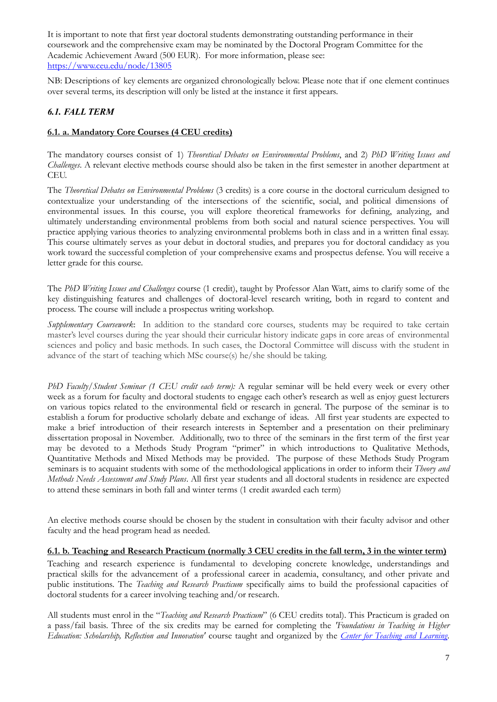It is important to note that first year doctoral students demonstrating outstanding performance in their coursework and the comprehensive exam may be nominated by the Doctoral Program Committee for the Academic Achievement Award (500 EUR). For more information, please see: <https://www.ceu.edu/node/13805>

NB: Descriptions of key elements are organized chronologically below. Please note that if one element continues over several terms, its description will only be listed at the instance it first appears.

# *6.1. FALL TERM*

### **6.1. a. Mandatory Core Courses (4 CEU credits)**

The mandatory courses consist of 1) *Theoretical Debates on Environmental Problems*, and 2) *PhD Writing Issues and Challenges*. A relevant elective methods course should also be taken in the first semester in another department at CEU.

The *Theoretical Debates on Environmental Problems* (3 credits) is a core course in the doctoral curriculum designed to contextualize your understanding of the intersections of the scientific, social, and political dimensions of environmental issues. In this course, you will explore theoretical frameworks for defining, analyzing, and ultimately understanding environmental problems from both social and natural science perspectives. You will practice applying various theories to analyzing environmental problems both in class and in a written final essay. This course ultimately serves as your debut in doctoral studies, and prepares you for doctoral candidacy as you work toward the successful completion of your comprehensive exams and prospectus defense. You will receive a letter grade for this course.

The *PhD Writing Issues and Challenges* course (1 credit), taught by Professor Alan Watt, aims to clarify some of the key distinguishing features and challenges of doctoral-level research writing, both in regard to content and process. The course will include a prospectus writing workshop.

*Supplementary Coursework*: In addition to the standard core courses, students may be required to take certain master's level courses during the year should their curricular history indicate gaps in core areas of environmental sciences and policy and basic methods. In such cases, the Doctoral Committee will discuss with the student in advance of the start of teaching which MSc course(s) he/she should be taking.

*PhD Faculty/Student Seminar (1 CEU credit each term):* A regular seminar will be held every week or every other week as a forum for faculty and doctoral students to engage each other's research as well as enjoy guest lecturers on various topics related to the environmental field or research in general. The purpose of the seminar is to establish a forum for productive scholarly debate and exchange of ideas. All first year students are expected to make a brief introduction of their research interests in September and a presentation on their preliminary dissertation proposal in November. Additionally, two to three of the seminars in the first term of the first year may be devoted to a Methods Study Program "primer" in which introductions to Qualitative Methods, Quantitative Methods and Mixed Methods may be provided. The purpose of these Methods Study Program seminars is to acquaint students with some of the methodological applications in order to inform their *Theory and Methods Needs Assessment and Study Plans*. All first year students and all doctoral students in residence are expected to attend these seminars in both fall and winter terms (1 credit awarded each term)

An elective methods course should be chosen by the student in consultation with their faculty advisor and other faculty and the head program head as needed.

#### **6.1. b. Teaching and Research Practicum (normally 3 CEU credits in the fall term, 3 in the winter term)**

Teaching and research experience is fundamental to developing concrete knowledge, understandings and practical skills for the advancement of a professional career in academia, consultancy, and other private and public institutions. The *Teaching and Research Practicum* specifically aims to build the professional capacities of doctoral students for a career involving teaching and/or research.

All students must enrol in the "*Teaching and Research Practicum*" (6 CEU credits total). This Practicum is graded on a pass/fail basis. Three of the six credits may be earned for completing the *'Foundations in Teaching in Higher Education: Scholarship, Reflection and Innovation'* course taught and organized by the *[Center for Teaching and Learning](http://ctl.ceu.edu/)*.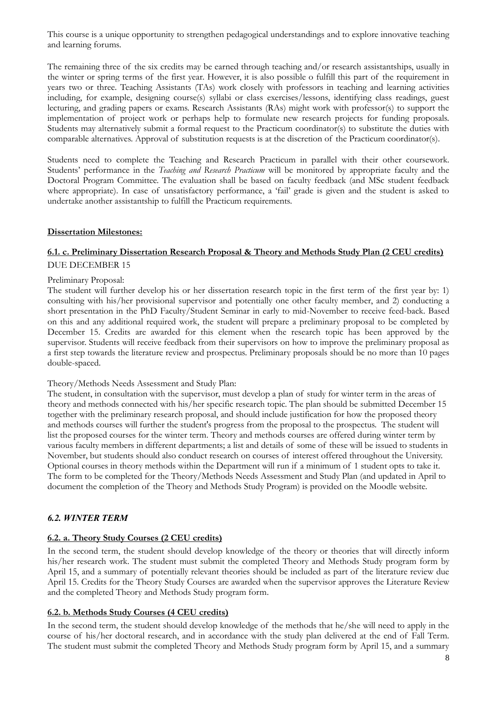This course is a unique opportunity to strengthen pedagogical understandings and to explore innovative teaching and learning forums.

The remaining three of the six credits may be earned through teaching and/or research assistantships, usually in the winter or spring terms of the first year. However, it is also possible o fulfill this part of the requirement in years two or three. Teaching Assistants (TAs) work closely with professors in teaching and learning activities including, for example, designing course(s) syllabi or class exercises/lessons, identifying class readings, guest lecturing, and grading papers or exams. Research Assistants (RAs) might work with professor(s) to support the implementation of project work or perhaps help to formulate new research projects for funding proposals. Students may alternatively submit a formal request to the Practicum coordinator(s) to substitute the duties with comparable alternatives. Approval of substitution requests is at the discretion of the Practicum coordinator(s).

Students need to complete the Teaching and Research Practicum in parallel with their other coursework. Students' performance in the *Teaching and Research Practicum* will be monitored by appropriate faculty and the Doctoral Program Committee. The evaluation shall be based on faculty feedback (and MSc student feedback where appropriate). In case of unsatisfactory performance, a 'fail' grade is given and the student is asked to undertake another assistantship to fulfill the Practicum requirements.

#### **Dissertation Milestones:**

### **6.1. c. Preliminary Dissertation Research Proposal & Theory and Methods Study Plan (2 CEU credits)** DUE DECEMBER 15

#### Preliminary Proposal:

The student will further develop his or her dissertation research topic in the first term of the first year by: 1) consulting with his/her provisional supervisor and potentially one other faculty member, and 2) conducting a short presentation in the PhD Faculty/Student Seminar in early to mid-November to receive feed-back. Based on this and any additional required work, the student will prepare a preliminary proposal to be completed by December 15. Credits are awarded for this element when the research topic has been approved by the supervisor. Students will receive feedback from their supervisors on how to improve the preliminary proposal as a first step towards the literature review and prospectus. Preliminary proposals should be no more than 10 pages double-spaced.

#### Theory/Methods Needs Assessment and Study Plan:

The student, in consultation with the supervisor, must develop a plan of study for winter term in the areas of theory and methods connected with his/her specific research topic. The plan should be submitted December 15 together with the preliminary research proposal, and should include justification for how the proposed theory and methods courses will further the student's progress from the proposal to the prospectus. The student will list the proposed courses for the winter term. Theory and methods courses are offered during winter term by various faculty members in different departments; a list and details of some of these will be issued to students in November, but students should also conduct research on courses of interest offered throughout the University. Optional courses in theory methods within the Department will run if a minimum of 1 student opts to take it. The form to be completed for the Theory/Methods Needs Assessment and Study Plan (and updated in April to document the completion of the Theory and Methods Study Program) is provided on the Moodle website.

#### *6.2. WINTER TERM*

#### **6.2. a. Theory Study Courses (2 CEU credits)**

In the second term, the student should develop knowledge of the theory or theories that will directly inform his/her research work. The student must submit the completed Theory and Methods Study program form by April 15, and a summary of potentially relevant theories should be included as part of the literature review due April 15. Credits for the Theory Study Courses are awarded when the supervisor approves the Literature Review and the completed Theory and Methods Study program form.

#### **6.2. b. Methods Study Courses (4 CEU credits)**

In the second term, the student should develop knowledge of the methods that he/she will need to apply in the course of his/her doctoral research, and in accordance with the study plan delivered at the end of Fall Term. The student must submit the completed Theory and Methods Study program form by April 15, and a summary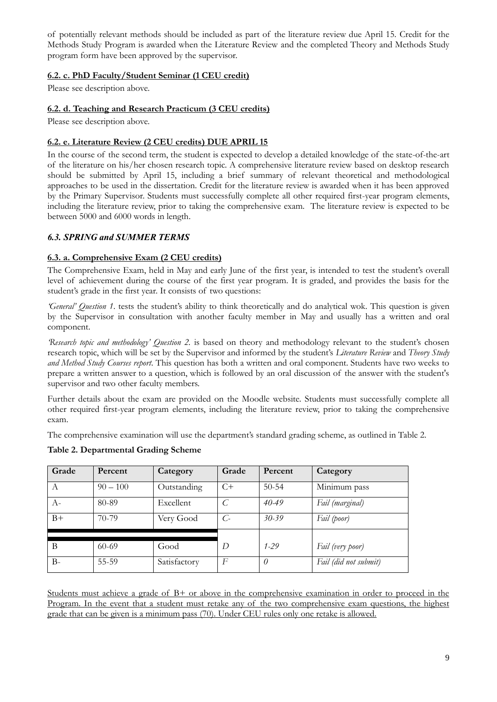of potentially relevant methods should be included as part of the literature review due April 15. Credit for the Methods Study Program is awarded when the Literature Review and the completed Theory and Methods Study program form have been approved by the supervisor.

# **6.2. c. PhD Faculty/Student Seminar (1 CEU credit)**

Please see description above.

# **6.2. d. Teaching and Research Practicum (3 CEU credits)**

Please see description above.

# **6.2. e. Literature Review (2 CEU credits) DUE APRIL 15**

In the course of the second term, the student is expected to develop a detailed knowledge of the state-of-the-art of the literature on his/her chosen research topic. A comprehensive literature review based on desktop research should be submitted by April 15, including a brief summary of relevant theoretical and methodological approaches to be used in the dissertation. Credit for the literature review is awarded when it has been approved by the Primary Supervisor. Students must successfully complete all other required first-year program elements, including the literature review, prior to taking the comprehensive exam. The literature review is expected to be between 5000 and 6000 words in length.

# *6.3. SPRING and SUMMER TERMS*

# **6.3. a. Comprehensive Exam (2 CEU credits)**

The Comprehensive Exam, held in May and early June of the first year, is intended to test the student's overall level of achievement during the course of the first year program. It is graded, and provides the basis for the student's grade in the first year. It consists of two questions:

*'General' Question 1*. tests the student's ability to think theoretically and do analytical wok. This question is given by the Supervisor in consultation with another faculty member in May and usually has a written and oral component.

*'Research topic and methodology' Question 2.* is based on theory and methodology relevant to the student's chosen research topic, which will be set by the Supervisor and informed by the student's *Literature Review* and *Theory Study and Method Study Courses report*. This question has both a written and oral component. Students have two weeks to prepare a written answer to a question, which is followed by an oral discussion of the answer with the student's supervisor and two other faculty members.

Further details about the exam are provided on the Moodle website. Students must successfully complete all other required first-year program elements, including the literature review, prior to taking the comprehensive exam.

The comprehensive examination will use the department's standard grading scheme, as outlined in Table 2.

| Grade | Percent    | Category     | Grade           | Percent   | Category              |
|-------|------------|--------------|-----------------|-----------|-----------------------|
| A     | $90 - 100$ | Outstanding  | $C+$            | $50 - 54$ | Minimum pass          |
| $A-$  | 80-89      | Excellent    |                 | $40 - 49$ | Fail (marginal)       |
| $B+$  | 70-79      | Very Good    | $\mathcal{C}$ - | $30 - 39$ | Fail (poor)           |
|       |            |              |                 |           |                       |
| B     | $60 - 69$  | Good         | D               | $1 - 29$  | Fail (very poor)      |
| $B -$ | 55-59      | Satisfactory | F               | 0         | Fail (did not submit) |

# **Table 2. Departmental Grading Scheme**

Students must achieve a grade of B+ or above in the comprehensive examination in order to proceed in the Program. In the event that a student must retake any of the two comprehensive exam questions, the highest grade that can be given is a minimum pass (70). Under CEU rules only one retake is allowed.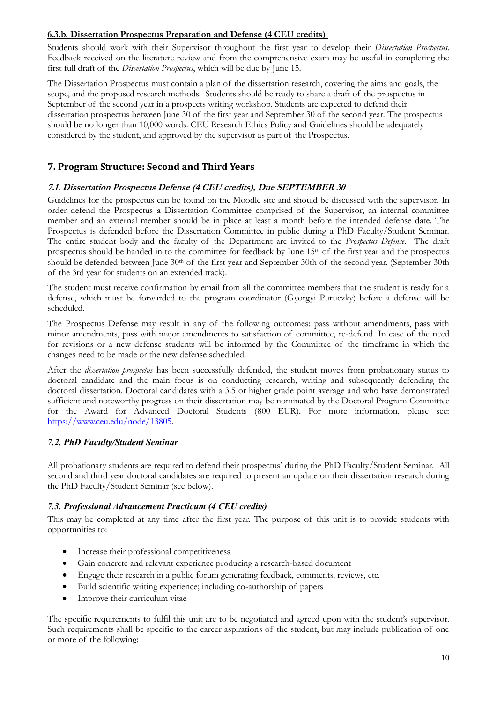### **6.3.b. Dissertation Prospectus Preparation and Defense (4 CEU credits)**

Students should work with their Supervisor throughout the first year to develop their *Dissertation Prospectus.*  Feedback received on the literature review and from the comprehensive exam may be useful in completing the first full draft of the *Dissertation Prospectus*, which will be due by June 15.

The Dissertation Prospectus must contain a plan of the dissertation research, covering the aims and goals, the scope, and the proposed research methods. Students should be ready to share a draft of the prospectus in September of the second year in a prospects writing workshop. Students are expected to defend their dissertation prospectus between June 30 of the first year and September 30 of the second year. The prospectus should be no longer than 10,000 words. CEU Research Ethics Policy and Guidelines should be adequately considered by the student, and approved by the supervisor as part of the Prospectus.

# **7. Program Structure: Second and Third Years**

### **7.1. Dissertation Prospectus Defense (4 CEU credits), Due SEPTEMBER 30**

Guidelines for the prospectus can be found on the Moodle site and should be discussed with the supervisor. In order defend the Prospectus a Dissertation Committee comprised of the Supervisor, an internal committee member and an external member should be in place at least a month before the intended defense date. The Prospectus is defended before the Dissertation Committee in public during a PhD Faculty/Student Seminar. The entire student body and the faculty of the Department are invited to the *Prospectus Defense*. The draft prospectus should be handed in to the committee for feedback by June 15th of the first year and the prospectus should be defended between June 30th of the first year and September 30th of the second year. (September 30th of the 3rd year for students on an extended track).

The student must receive confirmation by email from all the committee members that the student is ready for a defense, which must be forwarded to the program coordinator (Gyorgyi Puruczky) before a defense will be scheduled.

The Prospectus Defense may result in any of the following outcomes: pass without amendments, pass with minor amendments, pass with major amendments to satisfaction of committee, re-defend. In case of the need for revisions or a new defense students will be informed by the Committee of the timeframe in which the changes need to be made or the new defense scheduled.

After the *dissertation prospectus* has been successfully defended, the student moves from probationary status to doctoral candidate and the main focus is on conducting research, writing and subsequently defending the doctoral dissertation. Doctoral candidates with a 3.5 or higher grade point average and who have demonstrated sufficient and noteworthy progress on their dissertation may be nominated by the Doctoral Program Committee for the Award for Advanced Doctoral Students (800 EUR). For more information, please see: [https://www.ceu.edu/node/13805.](https://www.ceu.edu/node/13805)

#### *7.2. PhD Faculty/Student Seminar*

All probationary students are required to defend their prospectus' during the PhD Faculty/Student Seminar. All second and third year doctoral candidates are required to present an update on their dissertation research during the PhD Faculty/Student Seminar (see below).

# *7.3. Professional Advancement Practicum (4 CEU credits)*

This may be completed at any time after the first year. The purpose of this unit is to provide students with opportunities to:

- Increase their professional competitiveness
- Gain concrete and relevant experience producing a research-based document
- Engage their research in a public forum generating feedback, comments, reviews, etc.
- Build scientific writing experience; including co-authorship of papers
- Improve their curriculum vitae

The specific requirements to fulfil this unit are to be negotiated and agreed upon with the student's supervisor. Such requirements shall be specific to the career aspirations of the student, but may include publication of one or more of the following: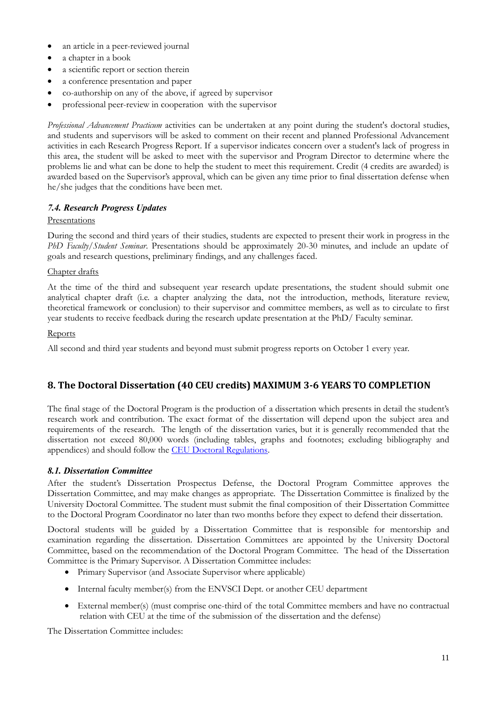- an article in a peer-reviewed journal
- a chapter in a book
- a scientific report or section therein
- a conference presentation and paper
- co-authorship on any of the above, if agreed by supervisor
- professional peer-review in cooperation with the supervisor

*Professional Advancement Practicum* activities can be undertaken at any point during the student's doctoral studies, and students and supervisors will be asked to comment on their recent and planned Professional Advancement activities in each Research Progress Report. If a supervisor indicates concern over a student's lack of progress in this area, the student will be asked to meet with the supervisor and Program Director to determine where the problems lie and what can be done to help the student to meet this requirement. Credit (4 credits are awarded) is awarded based on the Supervisor's approval, which can be given any time prior to final dissertation defense when he/she judges that the conditions have been met.

### *7.4. Research Progress Updates*

#### **Presentations**

During the second and third years of their studies, students are expected to present their work in progress in the *PhD Faculty/Student Seminar*. Presentations should be approximately 20-30 minutes, and include an update of goals and research questions, preliminary findings, and any challenges faced.

#### Chapter drafts

At the time of the third and subsequent year research update presentations, the student should submit one analytical chapter draft (i.e. a chapter analyzing the data, not the introduction, methods, literature review, theoretical framework or conclusion) to their supervisor and committee members, as well as to circulate to first year students to receive feedback during the research update presentation at the PhD/ Faculty seminar.

#### **Reports**

All second and third year students and beyond must submit progress reports on October 1 every year.

# **8. The Doctoral Dissertation (40 CEU credits) MAXIMUM 3-6 YEARS TO COMPLETION**

The final stage of the Doctoral Program is the production of a dissertation which presents in detail the student's research work and contribution. The exact format of the dissertation will depend upon the subject area and requirements of the research. The length of the dissertation varies, but it is generally recommended that the dissertation not exceed 80,000 words (including tables, graphs and footnotes; excluding bibliography and appendices) and should follow the [CEU Doctoral Regulations.](http://www.ceu.hu/sites/default/files/attachment/basic_page/44/p-1103-01v1202-doctoral-regulationsfinal.pdf)

#### *8.1. Dissertation Committee*

After the student's Dissertation Prospectus Defense, the Doctoral Program Committee approves the Dissertation Committee, and may make changes as appropriate. The Dissertation Committee is finalized by the University Doctoral Committee. The student must submit the final composition of their Dissertation Committee to the Doctoral Program Coordinator no later than two months before they expect to defend their dissertation.

Doctoral students will be guided by a Dissertation Committee that is responsible for mentorship and examination regarding the dissertation. Dissertation Committees are appointed by the University Doctoral Committee, based on the recommendation of the Doctoral Program Committee. The head of the Dissertation Committee is the Primary Supervisor. A Dissertation Committee includes:

- Primary Supervisor (and Associate Supervisor where applicable)
- Internal faculty member(s) from the ENVSCI Dept. or another CEU department
- External member(s) (must comprise one-third of the total Committee members and have no contractual relation with CEU at the time of the submission of the dissertation and the defense)

The Dissertation Committee includes: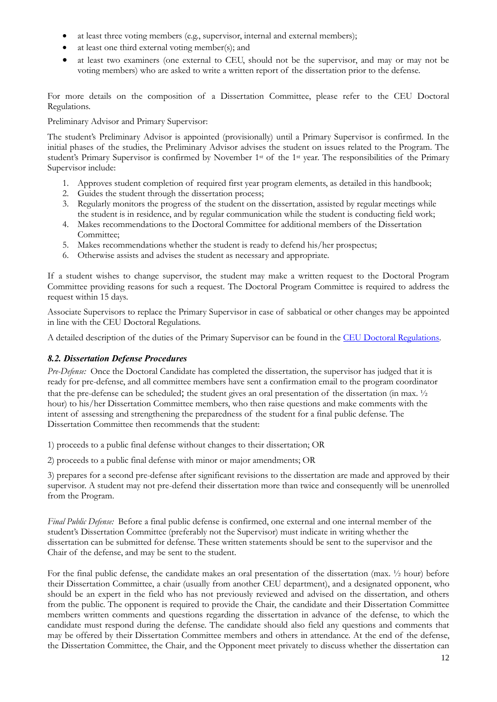- at least three voting members (e.g., supervisor, internal and external members);
- at least one third external voting member(s); and
- at least two examiners (one external to CEU, should not be the supervisor, and may or may not be voting members) who are asked to write a written report of the dissertation prior to the defense.

For more details on the composition of a Dissertation Committee, please refer to the CEU Doctoral Regulations.

Preliminary Advisor and Primary Supervisor:

The student's Preliminary Advisor is appointed (provisionally) until a Primary Supervisor is confirmed. In the initial phases of the studies, the Preliminary Advisor advises the student on issues related to the Program. The student's Primary Supervisor is confirmed by November 1st of the 1st year. The responsibilities of the Primary Supervisor include:

- 1. Approves student completion of required first year program elements, as detailed in this handbook;
- 2. Guides the student through the dissertation process;
- 3. Regularly monitors the progress of the student on the dissertation, assisted by regular meetings while the student is in residence, and by regular communication while the student is conducting field work;
- 4. Makes recommendations to the Doctoral Committee for additional members of the Dissertation Committee;
- 5. Makes recommendations whether the student is ready to defend his/her prospectus;
- 6. Otherwise assists and advises the student as necessary and appropriate.

If a student wishes to change supervisor, the student may make a written request to the Doctoral Program Committee providing reasons for such a request. The Doctoral Program Committee is required to address the request within 15 days.

Associate Supervisors to replace the Primary Supervisor in case of sabbatical or other changes may be appointed in line with the CEU Doctoral Regulations.

A detailed description of the duties of the Primary Supervisor can be found in the [CEU Doctoral Regulations.](http://www.ceu.hu/sites/default/files/attachment/basic_page/44/p-1103-01v1202-doctoral-regulationsfinal.pdf)

# *8.2. Dissertation Defense Procedures*

*Pre-Defense:* Once the Doctoral Candidate has completed the dissertation, the supervisor has judged that it is ready for pre-defense, and all committee members have sent a confirmation email to the program coordinator that the pre-defense can be scheduled; the student gives an oral presentation of the dissertation (in max. ½ hour) to his/her Dissertation Committee members, who then raise questions and make comments with the intent of assessing and strengthening the preparedness of the student for a final public defense. The Dissertation Committee then recommends that the student:

1) proceeds to a public final defense without changes to their dissertation; OR

2) proceeds to a public final defense with minor or major amendments; OR

3) prepares for a second pre-defense after significant revisions to the dissertation are made and approved by their supervisor. A student may not pre-defend their dissertation more than twice and consequently will be unenrolled from the Program.

*Final Public Defense:* Before a final public defense is confirmed, one external and one internal member of the student's Dissertation Committee (preferably not the Supervisor) must indicate in writing whether the dissertation can be submitted for defense. These written statements should be sent to the supervisor and the Chair of the defense, and may be sent to the student.

For the final public defense, the candidate makes an oral presentation of the dissertation (max. ½ hour) before their Dissertation Committee, a chair (usually from another CEU department), and a designated opponent, who should be an expert in the field who has not previously reviewed and advised on the dissertation, and others from the public. The opponent is required to provide the Chair, the candidate and their Dissertation Committee members written comments and questions regarding the dissertation in advance of the defense, to which the candidate must respond during the defense. The candidate should also field any questions and comments that may be offered by their Dissertation Committee members and others in attendance. At the end of the defense, the Dissertation Committee, the Chair, and the Opponent meet privately to discuss whether the dissertation can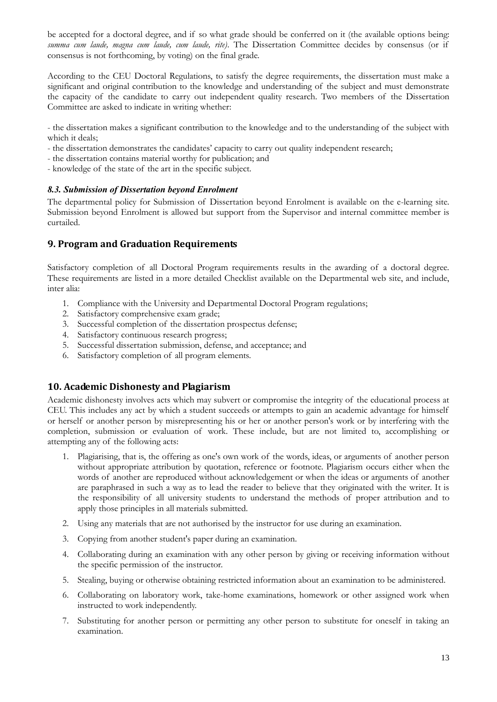be accepted for a doctoral degree, and if so what grade should be conferred on it (the available options being: *summa cum laude, magna cum laude, cum laude, rite)*. The Dissertation Committee decides by consensus (or if consensus is not forthcoming, by voting) on the final grade.

According to the CEU Doctoral Regulations, to satisfy the degree requirements, the dissertation must make a significant and original contribution to the knowledge and understanding of the subject and must demonstrate the capacity of the candidate to carry out independent quality research. Two members of the Dissertation Committee are asked to indicate in writing whether:

- the dissertation makes a significant contribution to the knowledge and to the understanding of the subject with which it deals;

- the dissertation demonstrates the candidates' capacity to carry out quality independent research;
- the dissertation contains material worthy for publication; and
- knowledge of the state of the art in the specific subject.

#### *8.3. Submission of Dissertation beyond Enrolment*

The departmental policy for Submission of Dissertation beyond Enrolment is available on the e-learning site. Submission beyond Enrolment is allowed but support from the Supervisor and internal committee member is curtailed.

# **9. Program and Graduation Requirements**

Satisfactory completion of all Doctoral Program requirements results in the awarding of a doctoral degree. These requirements are listed in a more detailed Checklist available on the Departmental web site, and include, inter alia:

- 1. Compliance with the University and Departmental Doctoral Program regulations;
- 2. Satisfactory comprehensive exam grade;
- 3. Successful completion of the dissertation prospectus defense;
- 4. Satisfactory continuous research progress;
- 5. Successful dissertation submission, defense, and acceptance; and
- 6. Satisfactory completion of all program elements.

# **10. Academic Dishonesty and Plagiarism**

Academic dishonesty involves acts which may subvert or compromise the integrity of the educational process at CEU. This includes any act by which a student succeeds or attempts to gain an academic advantage for himself or herself or another person by misrepresenting his or her or another person's work or by interfering with the completion, submission or evaluation of work. These include, but are not limited to, accomplishing or attempting any of the following acts:

- 1. Plagiarising, that is, the offering as one's own work of the words, ideas, or arguments of another person without appropriate attribution by quotation, reference or footnote. Plagiarism occurs either when the words of another are reproduced without acknowledgement or when the ideas or arguments of another are paraphrased in such a way as to lead the reader to believe that they originated with the writer. It is the responsibility of all university students to understand the methods of proper attribution and to apply those principles in all materials submitted.
- 2. Using any materials that are not authorised by the instructor for use during an examination.
- 3. Copying from another student's paper during an examination.
- 4. Collaborating during an examination with any other person by giving or receiving information without the specific permission of the instructor.
- 5. Stealing, buying or otherwise obtaining restricted information about an examination to be administered.
- 6. Collaborating on laboratory work, take-home examinations, homework or other assigned work when instructed to work independently.
- 7. Substituting for another person or permitting any other person to substitute for oneself in taking an examination.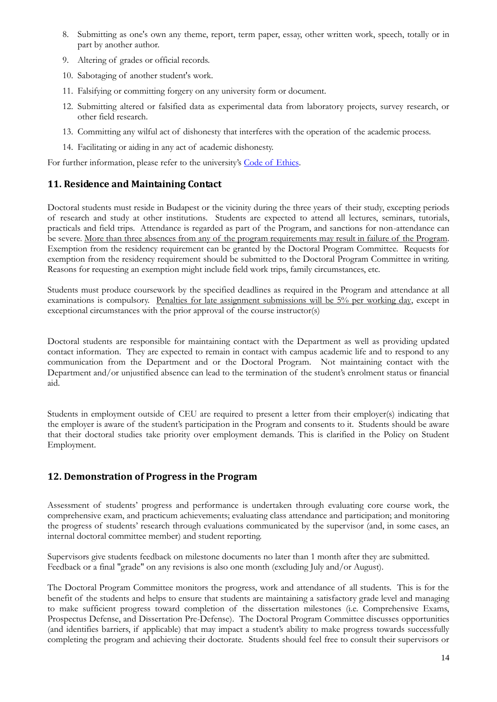- 8. Submitting as one's own any theme, report, term paper, essay, other written work, speech, totally or in part by another author.
- 9. Altering of grades or official records.
- 10. Sabotaging of another student's work.
- 11. Falsifying or committing forgery on any university form or document.
- 12. Submitting altered or falsified data as experimental data from laboratory projects, survey research, or other field research.
- 13. Committing any wilful act of dishonesty that interferes with the operation of the academic process.
- 14. Facilitating or aiding in any act of academic dishonesty.

For further information, please refer to the university's [Code of Ethics.](http://documents.ceu.hu/documents/p-1009-1v1402-0)

# **11. Residence and Maintaining Contact**

Doctoral students must reside in Budapest or the vicinity during the three years of their study, excepting periods of research and study at other institutions. Students are expected to attend all lectures, seminars, tutorials, practicals and field trips. Attendance is regarded as part of the Program, and sanctions for non-attendance can be severe. More than three absences from any of the program requirements may result in failure of the Program*.* Exemption from the residency requirement can be granted by the Doctoral Program Committee. Requests for exemption from the residency requirement should be submitted to the Doctoral Program Committee in writing. Reasons for requesting an exemption might include field work trips, family circumstances, etc.

Students must produce coursework by the specified deadlines as required in the Program and attendance at all examinations is compulsory. Penalties for late assignment submissions will be 5% per working day, except in exceptional circumstances with the prior approval of the course instructor(s)

Doctoral students are responsible for maintaining contact with the Department as well as providing updated contact information. They are expected to remain in contact with campus academic life and to respond to any communication from the Department and or the Doctoral Program. Not maintaining contact with the Department and/or unjustified absence can lead to the termination of the student's enrolment status or financial aid.

Students in employment outside of CEU are required to present a letter from their employer(s) indicating that the employer is aware of the student's participation in the Program and consents to it. Students should be aware that their doctoral studies take priority over employment demands. This is clarified in the Policy on Student Employment.

# **12. Demonstration of Progress in the Program**

Assessment of students' progress and performance is undertaken through evaluating core course work, the comprehensive exam, and practicum achievements; evaluating class attendance and participation; and monitoring the progress of students' research through evaluations communicated by the supervisor (and, in some cases, an internal doctoral committee member) and student reporting.

Supervisors give students feedback on milestone documents no later than 1 month after they are submitted. Feedback or a final "grade" on any revisions is also one month (excluding July and/or August).

The Doctoral Program Committee monitors the progress, work and attendance of all students. This is for the benefit of the students and helps to ensure that students are maintaining a satisfactory grade level and managing to make sufficient progress toward completion of the dissertation milestones (i.e. Comprehensive Exams, Prospectus Defense, and Dissertation Pre-Defense). The Doctoral Program Committee discusses opportunities (and identifies barriers, if applicable) that may impact a student's ability to make progress towards successfully completing the program and achieving their doctorate. Students should feel free to consult their supervisors or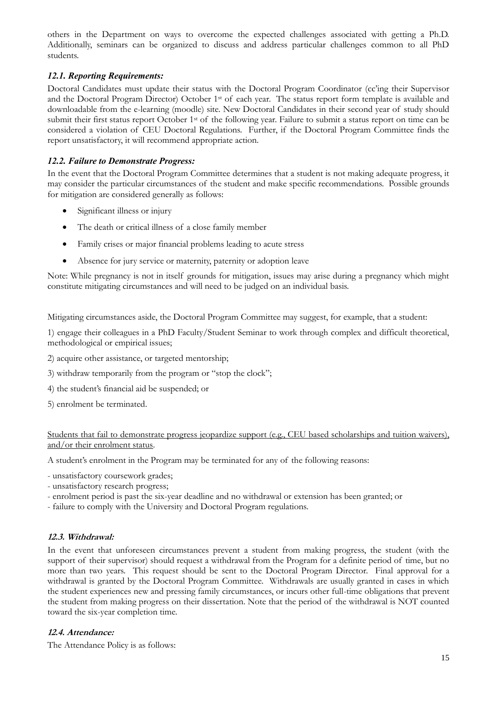others in the Department on ways to overcome the expected challenges associated with getting a Ph.D. Additionally, seminars can be organized to discuss and address particular challenges common to all PhD students.

# *12.1. Reporting Requirements:*

Doctoral Candidates must update their status with the Doctoral Program Coordinator (cc'ing their Supervisor and the Doctoral Program Director) October 1st of each year. The status report form template is available and downloadable from the e-learning (moodle) site. New Doctoral Candidates in their second year of study should submit their first status report October 1<sup>st</sup> of the following year. Failure to submit a status report on time can be considered a violation of CEU Doctoral Regulations. Further, if the Doctoral Program Committee finds the report unsatisfactory, it will recommend appropriate action.

### *12.2. Failure to Demonstrate Progress:*

In the event that the Doctoral Program Committee determines that a student is not making adequate progress, it may consider the particular circumstances of the student and make specific recommendations. Possible grounds for mitigation are considered generally as follows:

- Significant illness or injury
- The death or critical illness of a close family member
- Family crises or major financial problems leading to acute stress
- Absence for jury service or maternity, paternity or adoption leave

Note: While pregnancy is not in itself grounds for mitigation, issues may arise during a pregnancy which might constitute mitigating circumstances and will need to be judged on an individual basis.

Mitigating circumstances aside, the Doctoral Program Committee may suggest, for example, that a student:

1) engage their colleagues in a PhD Faculty/Student Seminar to work through complex and difficult theoretical, methodological or empirical issues;

- 2) acquire other assistance, or targeted mentorship;
- 3) withdraw temporarily from the program or "stop the clock";
- 4) the student's financial aid be suspended; or
- 5) enrolment be terminated.

Students that fail to demonstrate progress jeopardize support (e.g., CEU based scholarships and tuition waivers), and/or their enrolment status.

A student's enrolment in the Program may be terminated for any of the following reasons:

- unsatisfactory coursework grades;
- unsatisfactory research progress;
- enrolment period is past the six-year deadline and no withdrawal or extension has been granted; or
- failure to comply with the University and Doctoral Program regulations.

#### **12.3. Withdrawal:**

In the event that unforeseen circumstances prevent a student from making progress, the student (with the support of their supervisor) should request a withdrawal from the Program for a definite period of time, but no more than two years. This request should be sent to the Doctoral Program Director. Final approval for a withdrawal is granted by the Doctoral Program Committee. Withdrawals are usually granted in cases in which the student experiences new and pressing family circumstances, or incurs other full-time obligations that prevent the student from making progress on their dissertation. Note that the period of the withdrawal is NOT counted toward the six-year completion time.

#### **12.4. Attendance:**

The Attendance Policy is as follows: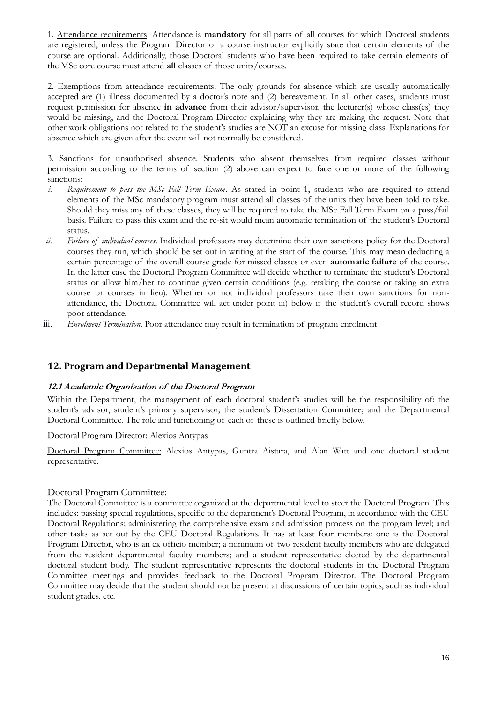1. Attendance requirements. Attendance is **mandatory** for all parts of all courses for which Doctoral students are registered, unless the Program Director or a course instructor explicitly state that certain elements of the course are optional. Additionally, those Doctoral students who have been required to take certain elements of the MSc core course must attend **all** classes of those units/courses.

2. Exemptions from attendance requirements. The only grounds for absence which are usually automatically accepted are (1) illness documented by a doctor's note and (2) bereavement. In all other cases, students must request permission for absence **in advance** from their advisor/supervisor, the lecturer(s) whose class(es) they would be missing, and the Doctoral Program Director explaining why they are making the request. Note that other work obligations not related to the student's studies are NOT an excuse for missing class. Explanations for absence which are given after the event will not normally be considered.

3. Sanctions for unauthorised absence. Students who absent themselves from required classes without permission according to the terms of section (2) above can expect to face one or more of the following sanctions:

- *i. Requirement to pass the MSc Fall Term Exam*. As stated in point 1, students who are required to attend elements of the MSc mandatory program must attend all classes of the units they have been told to take. Should they miss any of these classes, they will be required to take the MSc Fall Term Exam on a pass/fail basis. Failure to pass this exam and the re-sit would mean automatic termination of the student's Doctoral status.
- *ii. Failure of individual courses*. Individual professors may determine their own sanctions policy for the Doctoral courses they run, which should be set out in writing at the start of the course. This may mean deducting a certain percentage of the overall course grade for missed classes or even **automatic failure** of the course. In the latter case the Doctoral Program Committee will decide whether to terminate the student's Doctoral status or allow him/her to continue given certain conditions (e.g. retaking the course or taking an extra course or courses in lieu). Whether or not individual professors take their own sanctions for nonattendance, the Doctoral Committee will act under point iii) below if the student's overall record shows poor attendance.
- iii. *Enrolment Termination*. Poor attendance may result in termination of program enrolment.

# **12. Program and Departmental Management**

#### **12.1 Academic Organization of the Doctoral Program**

Within the Department, the management of each doctoral student's studies will be the responsibility of: the student's advisor, student's primary supervisor; the student's Dissertation Committee; and the Departmental Doctoral Committee. The role and functioning of each of these is outlined briefly below.

#### Doctoral Program Director: Alexios Antypas

Doctoral Program Committee: Alexios Antypas, Guntra Aistara, and Alan Watt and one doctoral student representative.

#### Doctoral Program Committee:

The Doctoral Committee is a committee organized at the departmental level to steer the Doctoral Program. This includes: passing special regulations, specific to the department's Doctoral Program, in accordance with the CEU Doctoral Regulations; administering the comprehensive exam and admission process on the program level; and other tasks as set out by the CEU Doctoral Regulations. It has at least four members: one is the Doctoral Program Director, who is an ex officio member; a minimum of two resident faculty members who are delegated from the resident departmental faculty members; and a student representative elected by the departmental doctoral student body. The student representative represents the doctoral students in the Doctoral Program Committee meetings and provides feedback to the Doctoral Program Director. The Doctoral Program Committee may decide that the student should not be present at discussions of certain topics, such as individual student grades, etc.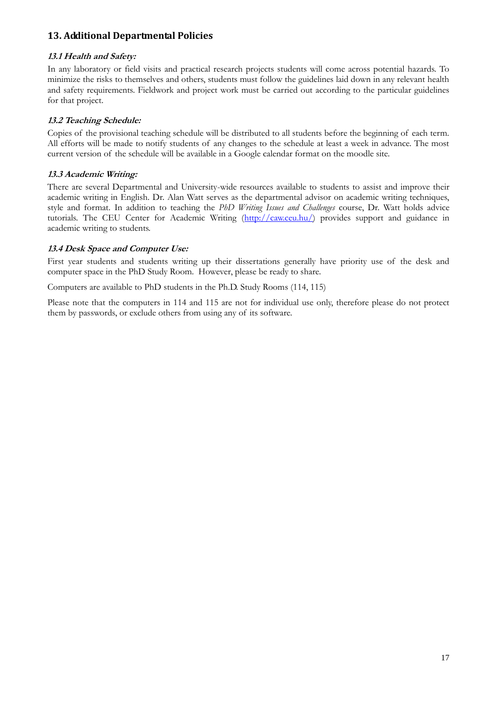# **13. Additional Departmental Policies**

# **13.1 Health and Safety:**

In any laboratory or field visits and practical research projects students will come across potential hazards. To minimize the risks to themselves and others, students must follow the guidelines laid down in any relevant health and safety requirements. Fieldwork and project work must be carried out according to the particular guidelines for that project.

### **13.2 Teaching Schedule:**

Copies of the provisional teaching schedule will be distributed to all students before the beginning of each term. All efforts will be made to notify students of any changes to the schedule at least a week in advance. The most current version of the schedule will be available in a Google calendar format on the moodle site.

### **13.3 Academic Writing:**

There are several Departmental and University-wide resources available to students to assist and improve their academic writing in English. Dr. Alan Watt serves as the departmental advisor on academic writing techniques, style and format. In addition to teaching the *PhD Writing Issues and Challenges* course, Dr. Watt holds advice tutorials. The CEU Center for Academic Writing [\(http://caw.ceu.hu/\)](http://caw.ceu.hu/) provides support and guidance in academic writing to students.

### **13.4 Desk Space and Computer Use:**

First year students and students writing up their dissertations generally have priority use of the desk and computer space in the PhD Study Room. However, please be ready to share.

Computers are available to PhD students in the Ph.D. Study Rooms (114, 115)

Please note that the computers in 114 and 115 are not for individual use only, therefore please do not protect them by passwords, or exclude others from using any of its software.